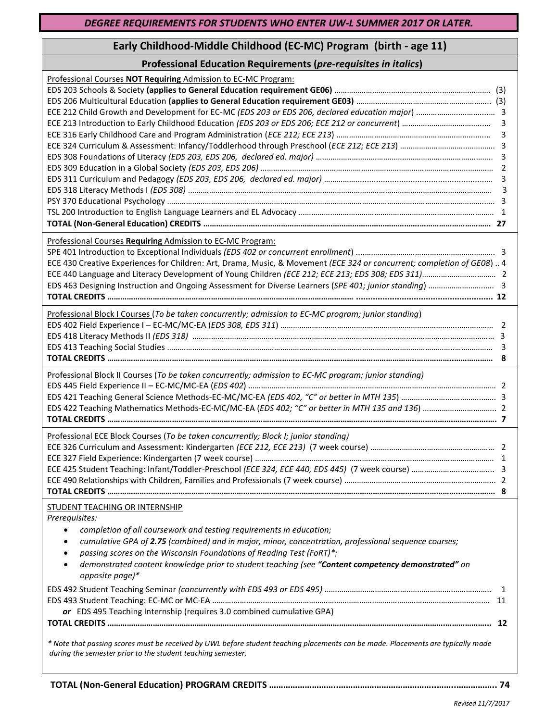# **Early Childhood-Middle Childhood (EC-MC) Program (birth - age 11)**

## **Professional Education Requirements (***pre-requisites in italics***)**

| Professional Courses NOT Requiring Admission to EC-MC Program:                                                                                                                                                                                                                                                                                                                                                                                                                                                                                                                                                                                                                                                                                                   |  |
|------------------------------------------------------------------------------------------------------------------------------------------------------------------------------------------------------------------------------------------------------------------------------------------------------------------------------------------------------------------------------------------------------------------------------------------------------------------------------------------------------------------------------------------------------------------------------------------------------------------------------------------------------------------------------------------------------------------------------------------------------------------|--|
| Professional Courses Requiring Admission to EC-MC Program:<br>ECE 430 Creative Experiences for Children: Art, Drama, Music, & Movement (ECE 324 or concurrent; completion of GE08)  4                                                                                                                                                                                                                                                                                                                                                                                                                                                                                                                                                                            |  |
| Professional Block I Courses (To be taken concurrently; admission to EC-MC program; junior standing)                                                                                                                                                                                                                                                                                                                                                                                                                                                                                                                                                                                                                                                             |  |
| Professional Block II Courses (To be taken concurrently; admission to EC-MC program; junior standing)                                                                                                                                                                                                                                                                                                                                                                                                                                                                                                                                                                                                                                                            |  |
| Professional ECE Block Courses (To be taken concurrently; Block I; junior standing)                                                                                                                                                                                                                                                                                                                                                                                                                                                                                                                                                                                                                                                                              |  |
| STUDENT TEACHING OR INTERNSHIP<br>Prerequisites:<br>completion of all coursework and testing requirements in education;<br>$\bullet$<br>cumulative GPA of 2.75 (combined) and in major, minor, concentration, professional sequence courses;<br>$\bullet$<br>passing scores on the Wisconsin Foundations of Reading Test (FoRT)*;<br>$\bullet$<br>demonstrated content knowledge prior to student teaching (see "Content competency demonstrated" on<br>$\bullet$<br>opposite page)*<br>or EDS 495 Teaching Internship (requires 3.0 combined cumulative GPA)<br>* Note that passing scores must be received by UWL before student teaching placements can be made. Placements are typically made<br>during the semester prior to the student teaching semester. |  |

**TOTAL (Non-General Education) PROGRAM CREDITS ………………………..…………………………………..……..…………….. 74**